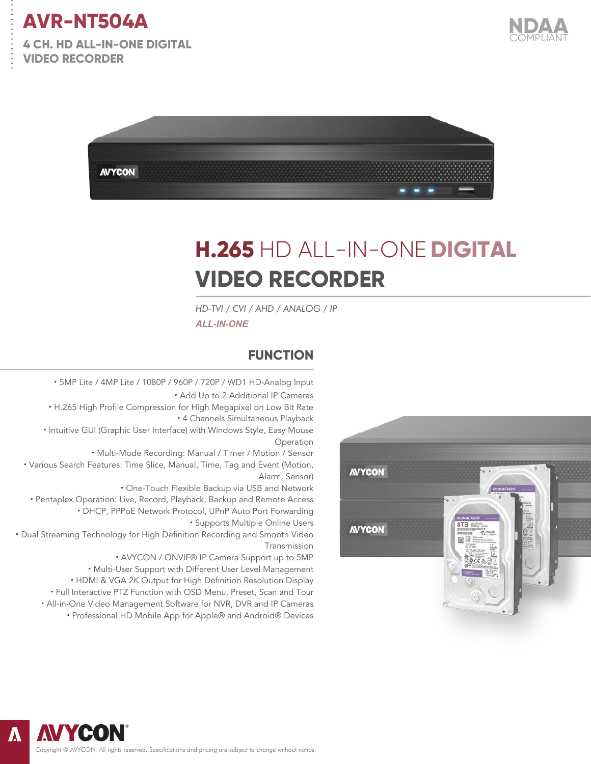

. . . . . . . . . . . . . . .

**4 CH. HD ALL-IN-ONE DIGITAL VIDEO RECORDER** 





# **H.265** HD ALL-IN-ONE **DIGITAL VIDEO RECORDER**

*HD-TVI / CVI / AHD / ANALOG / IP ALL-IN-ONE*

#### **FUNCTION**

**·** 5MP Lite / 4MP Lite / 1080P / 960P / 720P / WD1 HD-Analog Input **·** Add Up to 2 Additional IP Cameras **·** H.265 High Profile Compression for High Megapixel on Low Bit Rate **·** 4 Channels Simultaneous Playback **·** Intuitive GUI (Graphic User Interface) with Windows Style, Easy Mouse Operation **·** Multi-Mode Recording: Manual / Timer / Motion / Sensor **·** Various Search Features: Time Slice, Manual, Time, Tag and Event (Motion, Alarm, Sensor) **·** One-Touch Flexible Backup via USB and Network **·** Pentaplex Operation: Live, Record, Playback, Backup and Remote Access **·** DHCP, PPPoE Network Protocol, UPnP Auto Port Forwarding **·** Supports Multiple Online Users **·** Dual Streaming Technology for High Definition Recording and Smooth Video Transmission **·** AVYCON / ONVIF® IP Camera Support up to 5MP **·** Multi-User Support with Different User Level Management **·** HDMI & VGA 2K Output for High Definition Resolution Display

**·** Full Interactive PTZ Function with OSD Menu, Preset, Scan and Tour **·** All-in-One Video Management Software for NVR, DVR and IP Cameras

**·** Professional HD Mobile App for Apple® and Android® Devices



Copyright © AVYCON. All rights reserved. Specifications and pricing are subject to change without notice.